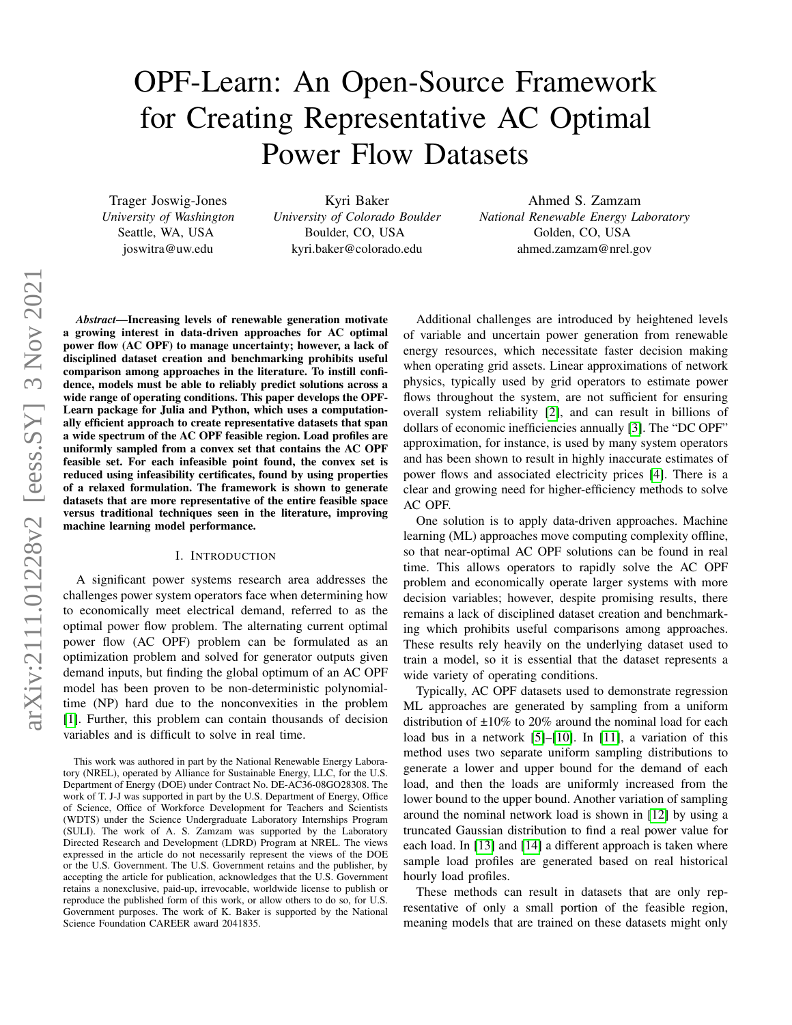# OPF-Learn: An Open-Source Framework for Creating Representative AC Optimal Power Flow Datasets

Trager Joswig-Jones *University of Washington* Seattle, WA, USA joswitra@uw.edu

Kyri Baker *University of Colorado Boulder* Boulder, CO, USA kyri.baker@colorado.edu

Ahmed S. Zamzam *National Renewable Energy Laboratory* Golden, CO, USA ahmed.zamzam@nrel.gov

*Abstract*—Increasing levels of renewable generation motivate a growing interest in data-driven approaches for AC optimal power flow (AC OPF) to manage uncertainty; however, a lack of disciplined dataset creation and benchmarking prohibits useful comparison among approaches in the literature. To instill confidence, models must be able to reliably predict solutions across a wide range of operating conditions. This paper develops the OPF-Learn package for Julia and Python, which uses a computationally efficient approach to create representative datasets that span a wide spectrum of the AC OPF feasible region. Load profiles are uniformly sampled from a convex set that contains the AC OPF feasible set. For each infeasible point found, the convex set is reduced using infeasibility certificates, found by using properties of a relaxed formulation. The framework is shown to generate datasets that are more representative of the entire feasible space versus traditional techniques seen in the literature, improving machine learning model performance.

### I. INTRODUCTION

A significant power systems research area addresses the challenges power system operators face when determining how to economically meet electrical demand, referred to as the optimal power flow problem. The alternating current optimal power flow (AC OPF) problem can be formulated as an optimization problem and solved for generator outputs given demand inputs, but finding the global optimum of an AC OPF model has been proven to be non-deterministic polynomialtime (NP) hard due to the nonconvexities in the problem [\[1\]](#page-4-0). Further, this problem can contain thousands of decision variables and is difficult to solve in real time.

Additional challenges are introduced by heightened levels of variable and uncertain power generation from renewable energy resources, which necessitate faster decision making when operating grid assets. Linear approximations of network physics, typically used by grid operators to estimate power flows throughout the system, are not sufficient for ensuring overall system reliability [\[2\]](#page-4-1), and can result in billions of dollars of economic inefficiencies annually [\[3\]](#page-4-2). The "DC OPF" approximation, for instance, is used by many system operators and has been shown to result in highly inaccurate estimates of power flows and associated electricity prices [\[4\]](#page-4-3). There is a clear and growing need for higher-efficiency methods to solve AC OPF.

One solution is to apply data-driven approaches. Machine learning (ML) approaches move computing complexity offline, so that near-optimal AC OPF solutions can be found in real time. This allows operators to rapidly solve the AC OPF problem and economically operate larger systems with more decision variables; however, despite promising results, there remains a lack of disciplined dataset creation and benchmarking which prohibits useful comparisons among approaches. These results rely heavily on the underlying dataset used to train a model, so it is essential that the dataset represents a wide variety of operating conditions.

Typically, AC OPF datasets used to demonstrate regression ML approaches are generated by sampling from a uniform distribution of  $\pm 10\%$  to 20% around the nominal load for each load bus in a network [\[5\]](#page-4-4)–[\[10\]](#page-4-5). In [\[11\]](#page-4-6), a variation of this method uses two separate uniform sampling distributions to generate a lower and upper bound for the demand of each load, and then the loads are uniformly increased from the lower bound to the upper bound. Another variation of sampling around the nominal network load is shown in [\[12\]](#page-4-7) by using a truncated Gaussian distribution to find a real power value for each load. In [\[13\]](#page-4-8) and [\[14\]](#page-4-9) a different approach is taken where sample load profiles are generated based on real historical hourly load profiles.

These methods can result in datasets that are only representative of only a small portion of the feasible region, meaning models that are trained on these datasets might only

This work was authored in part by the National Renewable Energy Laboratory (NREL), operated by Alliance for Sustainable Energy, LLC, for the U.S. Department of Energy (DOE) under Contract No. DE-AC36-08GO28308. The work of T. J-J was supported in part by the U.S. Department of Energy, Office of Science, Office of Workforce Development for Teachers and Scientists (WDTS) under the Science Undergraduate Laboratory Internships Program (SULI). The work of A. S. Zamzam was supported by the Laboratory Directed Research and Development (LDRD) Program at NREL. The views expressed in the article do not necessarily represent the views of the DOE or the U.S. Government. The U.S. Government retains and the publisher, by accepting the article for publication, acknowledges that the U.S. Government retains a nonexclusive, paid-up, irrevocable, worldwide license to publish or reproduce the published form of this work, or allow others to do so, for U.S. Government purposes. The work of K. Baker is supported by the National Science Foundation CAREER award 2041835.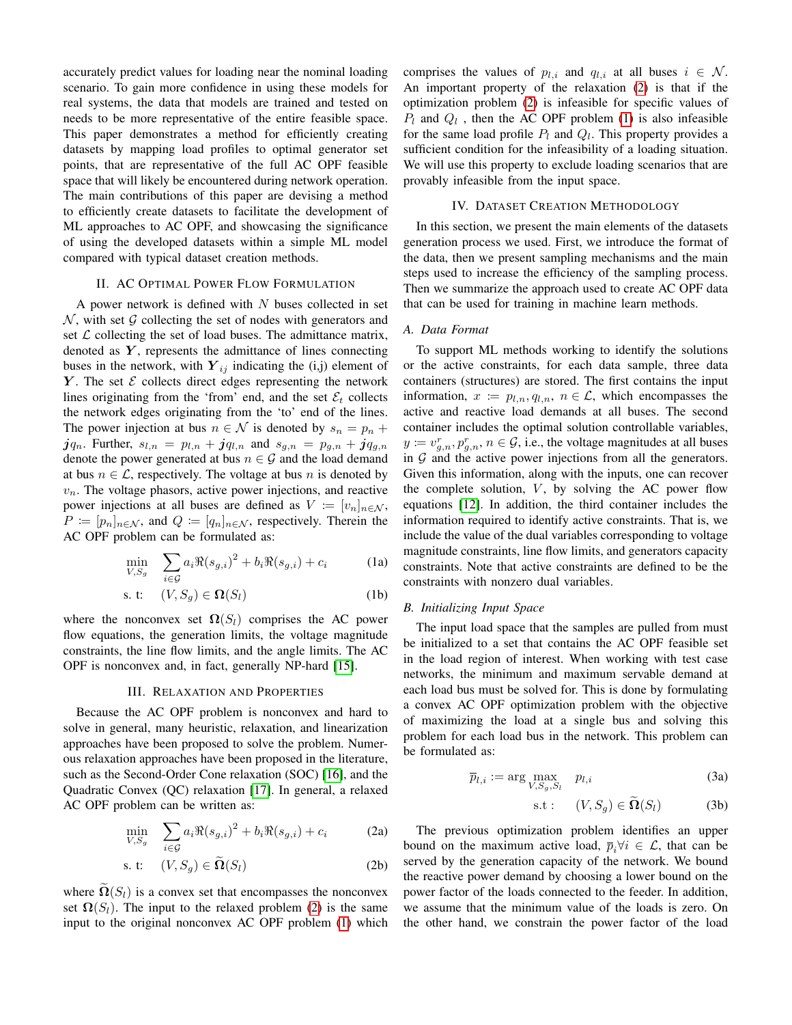accurately predict values for loading near the nominal loading scenario. To gain more confidence in using these models for real systems, the data that models are trained and tested on needs to be more representative of the entire feasible space. This paper demonstrates a method for efficiently creating datasets by mapping load profiles to optimal generator set points, that are representative of the full AC OPF feasible space that will likely be encountered during network operation. The main contributions of this paper are devising a method to efficiently create datasets to facilitate the development of ML approaches to AC OPF, and showcasing the significance of using the developed datasets within a simple ML model compared with typical dataset creation methods.

## II. AC OPTIMAL POWER FLOW FORMULATION

A power network is defined with  $N$  buses collected in set  $N$ , with set  $G$  collecting the set of nodes with generators and set  $\mathcal L$  collecting the set of load buses. The admittance matrix, denoted as  $Y$ , represents the admittance of lines connecting buses in the network, with  $Y_{ij}$  indicating the (i,j) element of  $Y$ . The set  $\mathcal E$  collects direct edges representing the network lines originating from the 'from' end, and the set  $\mathcal{E}_t$  collects the network edges originating from the 'to' end of the lines. The power injection at bus  $n \in \mathcal{N}$  is denoted by  $s_n = p_n +$  $jq_n$ . Further,  $s_{l,n} = p_{l,n} + jq_{l,n}$  and  $s_{g,n} = p_{g,n} + jq_{g,n}$ denote the power generated at bus  $n \in \mathcal{G}$  and the load demand at bus  $n \in \mathcal{L}$ , respectively. The voltage at bus n is denoted by  $v_n$ . The voltage phasors, active power injections, and reactive power injections at all buses are defined as  $V := [v_n]_{n \in \mathcal{N}}$ ,  $P \coloneqq [p_n]_{n \in \mathcal{N}}$ , and  $Q \coloneqq [q_n]_{n \in \mathcal{N}}$ , respectively. Therein the AC OPF problem can be formulated as:

$$
\min_{V, S_g} \quad \sum_{i \in \mathcal{G}} a_i \Re(s_{g,i})^2 + b_i \Re(s_{g,i}) + c_i \tag{1a}
$$

$$
s. t: (V, S_g) \in \Omega(S_l) \tag{1b}
$$

where the nonconvex set  $\Omega(S_l)$  comprises the AC power flow equations, the generation limits, the voltage magnitude constraints, the line flow limits, and the angle limits. The AC OPF is nonconvex and, in fact, generally NP-hard [\[15\]](#page-4-10).

#### III. RELAXATION AND PROPERTIES

Because the AC OPF problem is nonconvex and hard to solve in general, many heuristic, relaxation, and linearization approaches have been proposed to solve the problem. Numerous relaxation approaches have been proposed in the literature, such as the Second-Order Cone relaxation (SOC) [\[16\]](#page-4-11), and the Quadratic Convex (QC) relaxation [\[17\]](#page-4-12). In general, a relaxed AC OPF problem can be written as:

<span id="page-1-0"></span>
$$
\min_{V, S_g} \quad \sum_{i \in \mathcal{G}} a_i \Re(s_{g,i})^2 + b_i \Re(s_{g,i}) + c_i \tag{2a}
$$

$$
s. t: (V, S_g) \in \widetilde{\Omega}(S_l) \tag{2b}
$$

where  $\Omega(S_i)$  is a convex set that encompasses the nonconvex set  $\Omega(S_l)$ . The input to the relaxed problem [\(2\)](#page-1-0) is the same input to the original nonconvex AC OPF problem [\(1\)](#page-1-1) which comprises the values of  $p_{l,i}$  and  $q_{l,i}$  at all buses  $i \in \mathcal{N}$ . An important property of the relaxation [\(2\)](#page-1-0) is that if the optimization problem [\(2\)](#page-1-0) is infeasible for specific values of  $P_l$  and  $Q_l$ , then the AC OPF problem [\(1\)](#page-1-1) is also infeasible for the same load profile  $P_l$  and  $Q_l$ . This property provides a sufficient condition for the infeasibility of a loading situation. We will use this property to exclude loading scenarios that are provably infeasible from the input space.

# IV. DATASET CREATION METHODOLOGY

In this section, we present the main elements of the datasets generation process we used. First, we introduce the format of the data, then we present sampling mechanisms and the main steps used to increase the efficiency of the sampling process. Then we summarize the approach used to create AC OPF data that can be used for training in machine learn methods.

## *A. Data Format*

To support ML methods working to identify the solutions or the active constraints, for each data sample, three data containers (structures) are stored. The first contains the input information,  $x := p_{l,n}, q_{l,n}, n \in \mathcal{L}$ , which encompasses the active and reactive load demands at all buses. The second container includes the optimal solution controllable variables,  $y := v_{g,n}^r, p_{g,n}^r, n \in \mathcal{G}$ , i.e., the voltage magnitudes at all buses in  $G$  and the active power injections from all the generators. Given this information, along with the inputs, one can recover the complete solution,  $V$ , by solving the AC power flow equations [\[12\]](#page-4-7). In addition, the third container includes the information required to identify active constraints. That is, we include the value of the dual variables corresponding to voltage magnitude constraints, line flow limits, and generators capacity constraints. Note that active constraints are defined to be the constraints with nonzero dual variables.

## <span id="page-1-1"></span>*B. Initializing Input Space*

The input load space that the samples are pulled from must be initialized to a set that contains the AC OPF feasible set in the load region of interest. When working with test case networks, the minimum and maximum servable demand at each load bus must be solved for. This is done by formulating a convex AC OPF optimization problem with the objective of maximizing the load at a single bus and solving this problem for each load bus in the network. This problem can be formulated as:

$$
\overline{p}_{l,i} := \arg \max_{V, S_g, S_l} \quad p_{l,i} \tag{3a}
$$

$$
s.t: (V, S_g) \in \widetilde{\Omega}(S_l) \tag{3b}
$$

The previous optimization problem identifies an upper bound on the maximum active load,  $\overline{p}_i \forall i \in \mathcal{L}$ , that can be served by the generation capacity of the network. We bound the reactive power demand by choosing a lower bound on the power factor of the loads connected to the feeder. In addition, we assume that the minimum value of the loads is zero. On the other hand, we constrain the power factor of the load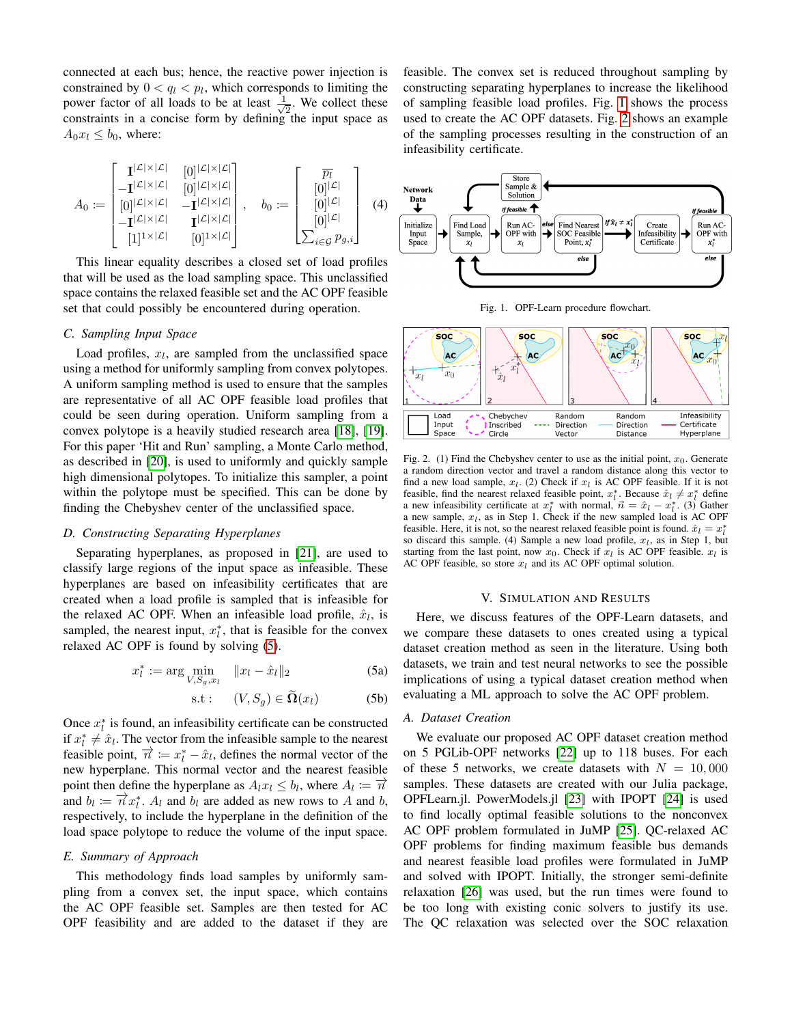connected at each bus; hence, the reactive power injection is constrained by  $0 < q_l < p_l$ , which corresponds to limiting the power factor of all loads to be at least  $\frac{1}{\sqrt{2}}$  $\overline{2}$ . We collect these constraints in a concise form by defining the input space as  $A_0x_l \leq b_0$ , where:

$$
A_0 := \begin{bmatrix} \mathbf{I}^{|\mathcal{L}| \times |\mathcal{L}|} & [0]^{|\mathcal{L}| \times |\mathcal{L}|} \\ -\mathbf{I}^{|\mathcal{L}| \times |\mathcal{L}|} & [0]^{|\mathcal{L}| \times |\mathcal{L}|} \\ [0]^{|\mathcal{L}| \times |\mathcal{L}|} & -\mathbf{I}^{|\mathcal{L}| \times |\mathcal{L}|} \\ -\mathbf{I}^{|\mathcal{L}| \times |\mathcal{L}|} & \mathbf{I}^{|\mathcal{L}| \times |\mathcal{L}|} \end{bmatrix}, \quad b_0 := \begin{bmatrix} \overline{p_l} \\ [0]^{|\mathcal{L}|} \\ [0]^{|\mathcal{L}|} \\ [0]^{|\mathcal{L}|} \\ \sum_{i \in \mathcal{G}} p_{g,i} \end{bmatrix} \quad (4)
$$

This linear equality describes a closed set of load profiles that will be used as the load sampling space. This unclassified space contains the relaxed feasible set and the AC OPF feasible set that could possibly be encountered during operation.

### *C. Sampling Input Space*

Load profiles,  $x_l$ , are sampled from the unclassified space using a method for uniformly sampling from convex polytopes. A uniform sampling method is used to ensure that the samples are representative of all AC OPF feasible load profiles that could be seen during operation. Uniform sampling from a convex polytope is a heavily studied research area [\[18\]](#page-4-13), [\[19\]](#page-4-14). For this paper 'Hit and Run' sampling, a Monte Carlo method, as described in [\[20\]](#page-4-15), is used to uniformly and quickly sample high dimensional polytopes. To initialize this sampler, a point within the polytope must be specified. This can be done by finding the Chebyshev center of the unclassified space.

## *D. Constructing Separating Hyperplanes*

Separating hyperplanes, as proposed in [\[21\]](#page-4-16), are used to classify large regions of the input space as infeasible. These hyperplanes are based on infeasibility certificates that are created when a load profile is sampled that is infeasible for the relaxed AC OPF. When an infeasible load profile,  $\hat{x}_l$ , is sampled, the nearest input,  $x_i^*$ , that is feasible for the convex relaxed AC OPF is found by solving [\(5\)](#page-2-0).

$$
x_l^* := \arg\min_{V, S_g, x_l} \quad ||x_l - \hat{x}_l||_2 \tag{5a}
$$

<span id="page-2-0"></span>
$$
s.t: \quad (V, S_g) \in \Omega(x_l) \tag{5b}
$$

Once  $x_i^*$  is found, an infeasibility certificate can be constructed if  $x_i^* \neq \hat{x}_i$ . The vector from the infeasible sample to the nearest feasible point,  $\vec{n} := x_1^* - \hat{x}_1$ , defines the normal vector of the new hyperplane. This normal vector and the nearest feasible point then define the hyperplane as  $A_l x_l \leq b_l$ , where  $A_l := \overrightarrow{n}$ and  $b_l := \overrightarrow{n} x_l^*$ .  $A_l$  and  $b_l$  are added as new rows to A and b, respectively, to include the hyperplane in the definition of the load space polytope to reduce the volume of the input space.

## *E. Summary of Approach*

This methodology finds load samples by uniformly sampling from a convex set, the input space, which contains the AC OPF feasible set. Samples are then tested for AC OPF feasibility and are added to the dataset if they are feasible. The convex set is reduced throughout sampling by constructing separating hyperplanes to increase the likelihood of sampling feasible load profiles. Fig. [1](#page-2-1) shows the process used to create the AC OPF datasets. Fig. [2](#page-2-2) shows an example of the sampling processes resulting in the construction of an infeasibility certificate.



<span id="page-2-1"></span>Fig. 1. OPF-Learn procedure flowchart.



<span id="page-2-2"></span>Fig. 2. (1) Find the Chebyshev center to use as the initial point,  $x_0$ . Generate a random direction vector and travel a random distance along this vector to find a new load sample,  $x_l$ . (2) Check if  $x_l$  is AC OPF feasible. If it is not feasible, find the nearest relaxed feasible point,  $x_l^*$ . Because  $\hat{x}_l \neq x_l^*$  define a new infeasibility certificate at  $x_l^*$  with normal,  $\vec{n} = \hat{x}_l - x_l^*$ . (3) Gather a new inclusionly certificate at  $x_l$  with hormal,  $n = x_l - x_l$ . (5) Galler a new sample,  $x_l$ , as in Step 1. Check if the new sampled load is AC OPF feasible. Here, it is not, so the nearest relaxed feasible point is found.  $\hat{x}_l = x_l^*$ so discard this sample. (4) Sample a new load profile,  $x_l$ , as in Step 1, but starting from the last point, now  $x_0$ . Check if  $x_l$  is AC OPF feasible.  $x_l$  is AC OPF feasible, so store  $x_l$  and its AC OPF optimal solution.

## V. SIMULATION AND RESULTS

Here, we discuss features of the OPF-Learn datasets, and we compare these datasets to ones created using a typical dataset creation method as seen in the literature. Using both datasets, we train and test neural networks to see the possible implications of using a typical dataset creation method when evaluating a ML approach to solve the AC OPF problem.

## *A. Dataset Creation*

We evaluate our proposed AC OPF dataset creation method on 5 PGLib-OPF networks [\[22\]](#page-4-17) up to 118 buses. For each of these 5 networks, we create datasets with  $N = 10,000$ samples. These datasets are created with our Julia package, OPFLearn.jl. PowerModels.jl [\[23\]](#page-4-18) with IPOPT [\[24\]](#page-4-19) is used to find locally optimal feasible solutions to the nonconvex AC OPF problem formulated in JuMP [\[25\]](#page-4-20). QC-relaxed AC OPF problems for finding maximum feasible bus demands and nearest feasible load profiles were formulated in JuMP and solved with IPOPT. Initially, the stronger semi-definite relaxation [\[26\]](#page-4-21) was used, but the run times were found to be too long with existing conic solvers to justify its use. The QC relaxation was selected over the SOC relaxation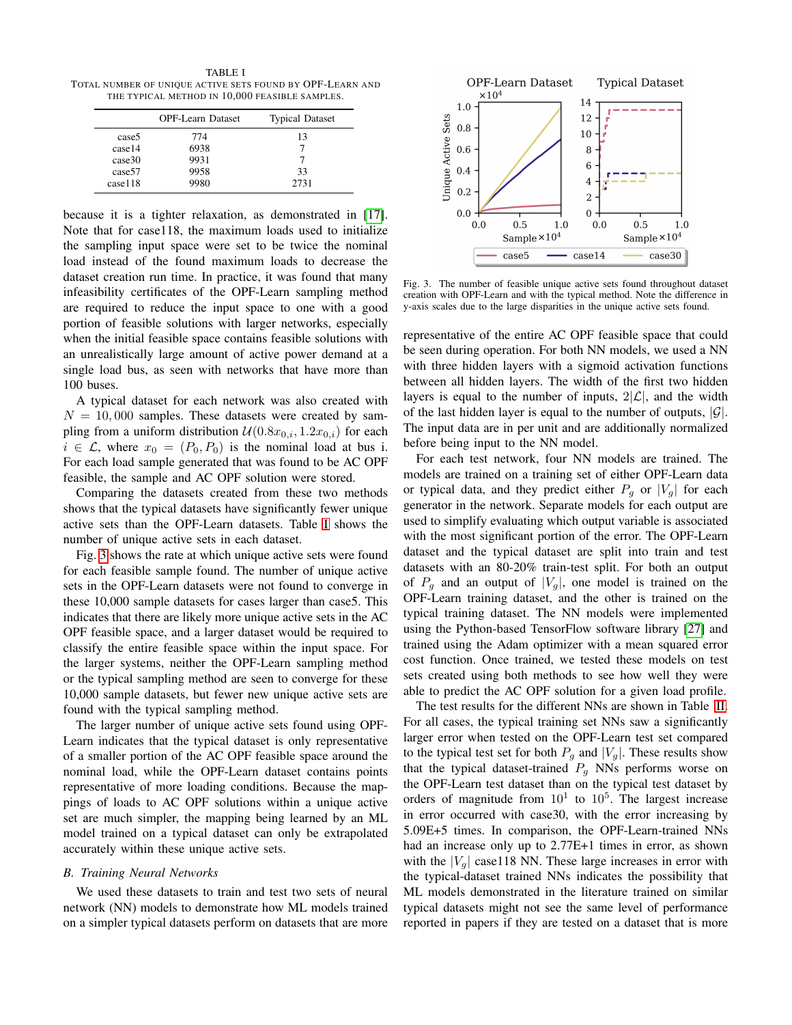<span id="page-3-0"></span>TABLE I TOTAL NUMBER OF UNIQUE ACTIVE SETS FOUND BY OPF-LEARN AND THE TYPICAL METHOD IN 10,000 FEASIBLE SAMPLES.

|                    | <b>OPF-Learn Dataset</b> | <b>Typical Dataset</b> |
|--------------------|--------------------------|------------------------|
| case5              | 774                      | 13                     |
| case14             | 6938                     |                        |
| case30             | 9931                     |                        |
| case <sub>57</sub> | 9958                     | 33                     |
| case118            | 9980                     | 2731                   |

because it is a tighter relaxation, as demonstrated in [\[17\]](#page-4-12). Note that for case118, the maximum loads used to initialize the sampling input space were set to be twice the nominal load instead of the found maximum loads to decrease the dataset creation run time. In practice, it was found that many infeasibility certificates of the OPF-Learn sampling method are required to reduce the input space to one with a good portion of feasible solutions with larger networks, especially when the initial feasible space contains feasible solutions with an unrealistically large amount of active power demand at a single load bus, as seen with networks that have more than 100 buses.

A typical dataset for each network was also created with  $N = 10,000$  samples. These datasets were created by sampling from a uniform distribution  $\mathcal{U}(0.8x_{0,i}, 1.2x_{0,i})$  for each  $i \in \mathcal{L}$ , where  $x_0 = (P_0, P_0)$  is the nominal load at bus i. For each load sample generated that was found to be AC OPF feasible, the sample and AC OPF solution were stored.

Comparing the datasets created from these two methods shows that the typical datasets have significantly fewer unique active sets than the OPF-Learn datasets. Table [I](#page-3-0) shows the number of unique active sets in each dataset.

Fig. [3](#page-3-1) shows the rate at which unique active sets were found for each feasible sample found. The number of unique active sets in the OPF-Learn datasets were not found to converge in these 10,000 sample datasets for cases larger than case5. This indicates that there are likely more unique active sets in the AC OPF feasible space, and a larger dataset would be required to classify the entire feasible space within the input space. For the larger systems, neither the OPF-Learn sampling method or the typical sampling method are seen to converge for these 10,000 sample datasets, but fewer new unique active sets are found with the typical sampling method.

The larger number of unique active sets found using OPF-Learn indicates that the typical dataset is only representative of a smaller portion of the AC OPF feasible space around the nominal load, while the OPF-Learn dataset contains points representative of more loading conditions. Because the mappings of loads to AC OPF solutions within a unique active set are much simpler, the mapping being learned by an ML model trained on a typical dataset can only be extrapolated accurately within these unique active sets.

## *B. Training Neural Networks*

We used these datasets to train and test two sets of neural network (NN) models to demonstrate how ML models trained on a simpler typical datasets perform on datasets that are more



<span id="page-3-1"></span>Fig. 3. The number of feasible unique active sets found throughout dataset creation with OPF-Learn and with the typical method. Note the difference in y-axis scales due to the large disparities in the unique active sets found.

representative of the entire AC OPF feasible space that could be seen during operation. For both NN models, we used a NN with three hidden layers with a sigmoid activation functions between all hidden layers. The width of the first two hidden layers is equal to the number of inputs,  $2|\mathcal{L}|$ , and the width of the last hidden layer is equal to the number of outputs,  $|\mathcal{G}|$ . The input data are in per unit and are additionally normalized before being input to the NN model.

For each test network, four NN models are trained. The models are trained on a training set of either OPF-Learn data or typical data, and they predict either  $P<sub>g</sub>$  or  $|V_g|$  for each generator in the network. Separate models for each output are used to simplify evaluating which output variable is associated with the most significant portion of the error. The OPF-Learn dataset and the typical dataset are split into train and test datasets with an 80-20% train-test split. For both an output of  $P_g$  and an output of  $|V_g|$ , one model is trained on the OPF-Learn training dataset, and the other is trained on the typical training dataset. The NN models were implemented using the Python-based TensorFlow software library [\[27\]](#page-4-22) and trained using the Adam optimizer with a mean squared error cost function. Once trained, we tested these models on test sets created using both methods to see how well they were able to predict the AC OPF solution for a given load profile.

The test results for the different NNs are shown in Table [II.](#page-4-23) For all cases, the typical training set NNs saw a significantly larger error when tested on the OPF-Learn test set compared to the typical test set for both  $P<sub>g</sub>$  and  $|V<sub>g</sub>|$ . These results show that the typical dataset-trained  $P<sub>q</sub>$  NNs performs worse on the OPF-Learn test dataset than on the typical test dataset by orders of magnitude from  $10<sup>1</sup>$  to  $10<sup>5</sup>$ . The largest increase in error occurred with case30, with the error increasing by 5.09E+5 times. In comparison, the OPF-Learn-trained NNs had an increase only up to 2.77E+1 times in error, as shown with the  $|V_q|$  case118 NN. These large increases in error with the typical-dataset trained NNs indicates the possibility that ML models demonstrated in the literature trained on similar typical datasets might not see the same level of performance reported in papers if they are tested on a dataset that is more